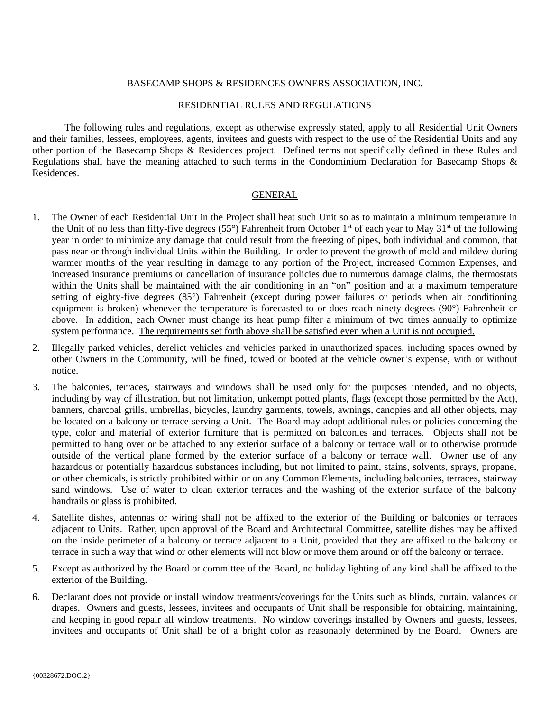#### BASECAMP SHOPS & RESIDENCES OWNERS ASSOCIATION, INC.

### RESIDENTIAL RULES AND REGULATIONS

The following rules and regulations, except as otherwise expressly stated, apply to all Residential Unit Owners and their families, lessees, employees, agents, invitees and guests with respect to the use of the Residential Units and any other portion of the Basecamp Shops & Residences project. Defined terms not specifically defined in these Rules and Regulations shall have the meaning attached to such terms in the Condominium Declaration for Basecamp Shops & Residences.

### **GENERAL**

- 1. The Owner of each Residential Unit in the Project shall heat such Unit so as to maintain a minimum temperature in the Unit of no less than fifty-five degrees (55°) Fahrenheit from October 1<sup>st</sup> of each year to May 31<sup>st</sup> of the following year in order to minimize any damage that could result from the freezing of pipes, both individual and common, that pass near or through individual Units within the Building. In order to prevent the growth of mold and mildew during warmer months of the year resulting in damage to any portion of the Project, increased Common Expenses, and increased insurance premiums or cancellation of insurance policies due to numerous damage claims, the thermostats within the Units shall be maintained with the air conditioning in an "on" position and at a maximum temperature setting of eighty-five degrees (85°) Fahrenheit (except during power failures or periods when air conditioning equipment is broken) whenever the temperature is forecasted to or does reach ninety degrees (90°) Fahrenheit or above. In addition, each Owner must change its heat pump filter a minimum of two times annually to optimize system performance. The requirements set forth above shall be satisfied even when a Unit is not occupied.
- 2. Illegally parked vehicles, derelict vehicles and vehicles parked in unauthorized spaces, including spaces owned by other Owners in the Community, will be fined, towed or booted at the vehicle owner's expense, with or without notice.
- 3. The balconies, terraces, stairways and windows shall be used only for the purposes intended, and no objects, including by way of illustration, but not limitation, unkempt potted plants, flags (except those permitted by the Act), banners, charcoal grills, umbrellas, bicycles, laundry garments, towels, awnings, canopies and all other objects, may be located on a balcony or terrace serving a Unit. The Board may adopt additional rules or policies concerning the type, color and material of exterior furniture that is permitted on balconies and terraces. Objects shall not be permitted to hang over or be attached to any exterior surface of a balcony or terrace wall or to otherwise protrude outside of the vertical plane formed by the exterior surface of a balcony or terrace wall. Owner use of any hazardous or potentially hazardous substances including, but not limited to paint, stains, solvents, sprays, propane, or other chemicals, is strictly prohibited within or on any Common Elements, including balconies, terraces, stairway sand windows. Use of water to clean exterior terraces and the washing of the exterior surface of the balcony handrails or glass is prohibited.
- 4. Satellite dishes, antennas or wiring shall not be affixed to the exterior of the Building or balconies or terraces adjacent to Units. Rather, upon approval of the Board and Architectural Committee, satellite dishes may be affixed on the inside perimeter of a balcony or terrace adjacent to a Unit, provided that they are affixed to the balcony or terrace in such a way that wind or other elements will not blow or move them around or off the balcony or terrace.
- 5. Except as authorized by the Board or committee of the Board, no holiday lighting of any kind shall be affixed to the exterior of the Building.
- 6. Declarant does not provide or install window treatments/coverings for the Units such as blinds, curtain, valances or drapes. Owners and guests, lessees, invitees and occupants of Unit shall be responsible for obtaining, maintaining, and keeping in good repair all window treatments. No window coverings installed by Owners and guests, lessees, invitees and occupants of Unit shall be of a bright color as reasonably determined by the Board. Owners are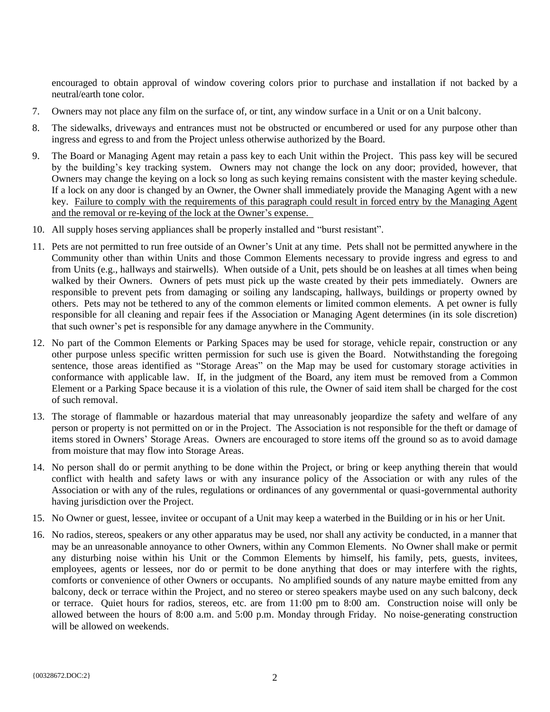encouraged to obtain approval of window covering colors prior to purchase and installation if not backed by a neutral/earth tone color.

- 7. Owners may not place any film on the surface of, or tint, any window surface in a Unit or on a Unit balcony.
- 8. The sidewalks, driveways and entrances must not be obstructed or encumbered or used for any purpose other than ingress and egress to and from the Project unless otherwise authorized by the Board.
- 9. The Board or Managing Agent may retain a pass key to each Unit within the Project. This pass key will be secured by the building's key tracking system. Owners may not change the lock on any door; provided, however, that Owners may change the keying on a lock so long as such keying remains consistent with the master keying schedule. If a lock on any door is changed by an Owner, the Owner shall immediately provide the Managing Agent with a new key. Failure to comply with the requirements of this paragraph could result in forced entry by the Managing Agent and the removal or re-keying of the lock at the Owner's expense.
- 10. All supply hoses serving appliances shall be properly installed and "burst resistant".
- 11. Pets are not permitted to run free outside of an Owner's Unit at any time. Pets shall not be permitted anywhere in the Community other than within Units and those Common Elements necessary to provide ingress and egress to and from Units (e.g., hallways and stairwells). When outside of a Unit, pets should be on leashes at all times when being walked by their Owners. Owners of pets must pick up the waste created by their pets immediately. Owners are responsible to prevent pets from damaging or soiling any landscaping, hallways, buildings or property owned by others. Pets may not be tethered to any of the common elements or limited common elements. A pet owner is fully responsible for all cleaning and repair fees if the Association or Managing Agent determines (in its sole discretion) that such owner's pet is responsible for any damage anywhere in the Community.
- 12. No part of the Common Elements or Parking Spaces may be used for storage, vehicle repair, construction or any other purpose unless specific written permission for such use is given the Board. Notwithstanding the foregoing sentence, those areas identified as "Storage Areas" on the Map may be used for customary storage activities in conformance with applicable law. If, in the judgment of the Board, any item must be removed from a Common Element or a Parking Space because it is a violation of this rule, the Owner of said item shall be charged for the cost of such removal.
- 13. The storage of flammable or hazardous material that may unreasonably jeopardize the safety and welfare of any person or property is not permitted on or in the Project. The Association is not responsible for the theft or damage of items stored in Owners' Storage Areas. Owners are encouraged to store items off the ground so as to avoid damage from moisture that may flow into Storage Areas.
- 14. No person shall do or permit anything to be done within the Project, or bring or keep anything therein that would conflict with health and safety laws or with any insurance policy of the Association or with any rules of the Association or with any of the rules, regulations or ordinances of any governmental or quasi-governmental authority having jurisdiction over the Project.
- 15. No Owner or guest, lessee, invitee or occupant of a Unit may keep a waterbed in the Building or in his or her Unit.
- 16. No radios, stereos, speakers or any other apparatus may be used, nor shall any activity be conducted, in a manner that may be an unreasonable annoyance to other Owners, within any Common Elements. No Owner shall make or permit any disturbing noise within his Unit or the Common Elements by himself, his family, pets, guests, invitees, employees, agents or lessees, nor do or permit to be done anything that does or may interfere with the rights, comforts or convenience of other Owners or occupants. No amplified sounds of any nature maybe emitted from any balcony, deck or terrace within the Project, and no stereo or stereo speakers maybe used on any such balcony, deck or terrace. Quiet hours for radios, stereos, etc. are from 11:00 pm to 8:00 am. Construction noise will only be allowed between the hours of 8:00 a.m. and 5:00 p.m. Monday through Friday. No noise-generating construction will be allowed on weekends.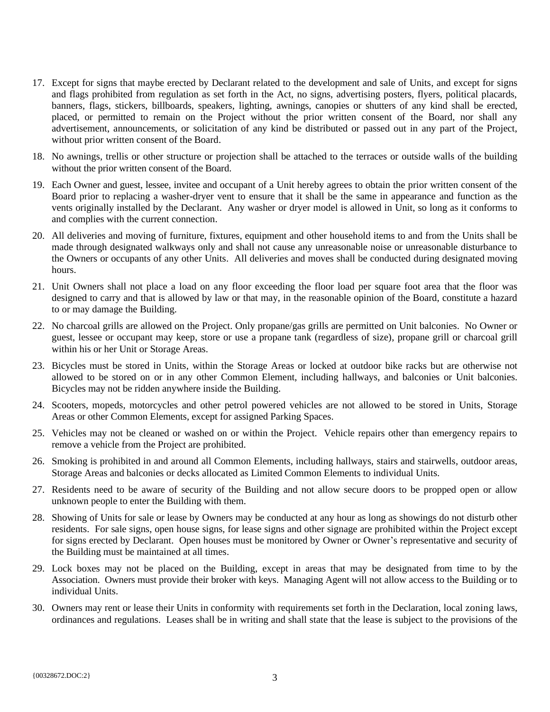- 17. Except for signs that maybe erected by Declarant related to the development and sale of Units, and except for signs and flags prohibited from regulation as set forth in the Act, no signs, advertising posters, flyers, political placards, banners, flags, stickers, billboards, speakers, lighting, awnings, canopies or shutters of any kind shall be erected, placed, or permitted to remain on the Project without the prior written consent of the Board, nor shall any advertisement, announcements, or solicitation of any kind be distributed or passed out in any part of the Project, without prior written consent of the Board.
- 18. No awnings, trellis or other structure or projection shall be attached to the terraces or outside walls of the building without the prior written consent of the Board.
- 19. Each Owner and guest, lessee, invitee and occupant of a Unit hereby agrees to obtain the prior written consent of the Board prior to replacing a washer-dryer vent to ensure that it shall be the same in appearance and function as the vents originally installed by the Declarant. Any washer or dryer model is allowed in Unit, so long as it conforms to and complies with the current connection.
- 20. All deliveries and moving of furniture, fixtures, equipment and other household items to and from the Units shall be made through designated walkways only and shall not cause any unreasonable noise or unreasonable disturbance to the Owners or occupants of any other Units. All deliveries and moves shall be conducted during designated moving hours.
- 21. Unit Owners shall not place a load on any floor exceeding the floor load per square foot area that the floor was designed to carry and that is allowed by law or that may, in the reasonable opinion of the Board, constitute a hazard to or may damage the Building.
- 22. No charcoal grills are allowed on the Project. Only propane/gas grills are permitted on Unit balconies. No Owner or guest, lessee or occupant may keep, store or use a propane tank (regardless of size), propane grill or charcoal grill within his or her Unit or Storage Areas.
- 23. Bicycles must be stored in Units, within the Storage Areas or locked at outdoor bike racks but are otherwise not allowed to be stored on or in any other Common Element, including hallways, and balconies or Unit balconies. Bicycles may not be ridden anywhere inside the Building.
- 24. Scooters, mopeds, motorcycles and other petrol powered vehicles are not allowed to be stored in Units, Storage Areas or other Common Elements, except for assigned Parking Spaces.
- 25. Vehicles may not be cleaned or washed on or within the Project. Vehicle repairs other than emergency repairs to remove a vehicle from the Project are prohibited.
- 26. Smoking is prohibited in and around all Common Elements, including hallways, stairs and stairwells, outdoor areas, Storage Areas and balconies or decks allocated as Limited Common Elements to individual Units.
- 27. Residents need to be aware of security of the Building and not allow secure doors to be propped open or allow unknown people to enter the Building with them.
- 28. Showing of Units for sale or lease by Owners may be conducted at any hour as long as showings do not disturb other residents. For sale signs, open house signs, for lease signs and other signage are prohibited within the Project except for signs erected by Declarant. Open houses must be monitored by Owner or Owner's representative and security of the Building must be maintained at all times.
- 29. Lock boxes may not be placed on the Building, except in areas that may be designated from time to by the Association. Owners must provide their broker with keys. Managing Agent will not allow access to the Building or to individual Units.
- 30. Owners may rent or lease their Units in conformity with requirements set forth in the Declaration, local zoning laws, ordinances and regulations. Leases shall be in writing and shall state that the lease is subject to the provisions of the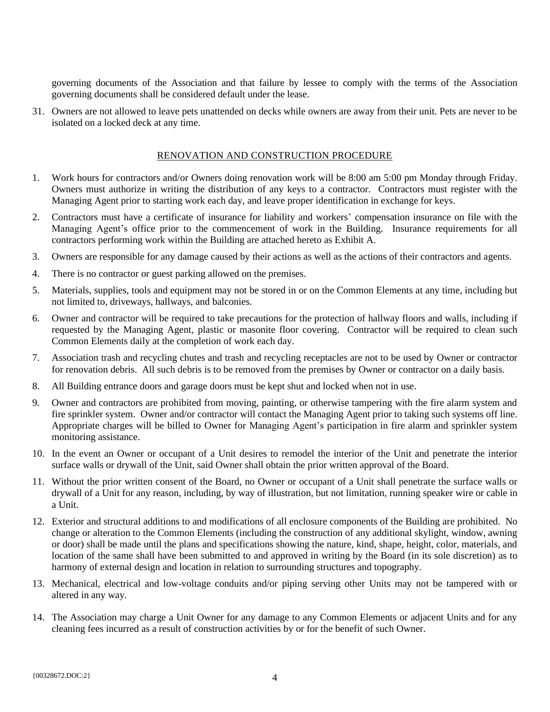governing documents of the Association and that failure by lessee to comply with the terms of the Association governing documents shall be considered default under the lease.

31. Owners are not allowed to leave pets unattended on decks while owners are away from their unit. Pets are never to be isolated on a locked deck at any time.

# RENOVATION AND CONSTRUCTION PROCEDURE

- 1. Work hours for contractors and/or Owners doing renovation work will be 8:00 am 5:00 pm Monday through Friday. Owners must authorize in writing the distribution of any keys to a contractor. Contractors must register with the Managing Agent prior to starting work each day, and leave proper identification in exchange for keys.
- 2. Contractors must have a certificate of insurance for liability and workers' compensation insurance on file with the Managing Agent's office prior to the commencement of work in the Building. Insurance requirements for all contractors performing work within the Building are attached hereto as Exhibit A.
- 3. Owners are responsible for any damage caused by their actions as well as the actions of their contractors and agents.
- 4. There is no contractor or guest parking allowed on the premises.
- 5. Materials, supplies, tools and equipment may not be stored in or on the Common Elements at any time, including but not limited to, driveways, hallways, and balconies.
- 6. Owner and contractor will be required to take precautions for the protection of hallway floors and walls, including if requested by the Managing Agent, plastic or masonite floor covering. Contractor will be required to clean such Common Elements daily at the completion of work each day.
- 7. Association trash and recycling chutes and trash and recycling receptacles are not to be used by Owner or contractor for renovation debris. All such debris is to be removed from the premises by Owner or contractor on a daily basis.
- 8. All Building entrance doors and garage doors must be kept shut and locked when not in use.
- 9. Owner and contractors are prohibited from moving, painting, or otherwise tampering with the fire alarm system and fire sprinkler system. Owner and/or contractor will contact the Managing Agent prior to taking such systems off line. Appropriate charges will be billed to Owner for Managing Agent's participation in fire alarm and sprinkler system monitoring assistance.
- 10. In the event an Owner or occupant of a Unit desires to remodel the interior of the Unit and penetrate the interior surface walls or drywall of the Unit, said Owner shall obtain the prior written approval of the Board.
- 11. Without the prior written consent of the Board, no Owner or occupant of a Unit shall penetrate the surface walls or drywall of a Unit for any reason, including, by way of illustration, but not limitation, running speaker wire or cable in a Unit.
- 12. Exterior and structural additions to and modifications of all enclosure components of the Building are prohibited. No change or alteration to the Common Elements (including the construction of any additional skylight, window, awning or door) shall be made until the plans and specifications showing the nature, kind, shape, height, color, materials, and location of the same shall have been submitted to and approved in writing by the Board (in its sole discretion) as to harmony of external design and location in relation to surrounding structures and topography.
- 13. Mechanical, electrical and low-voltage conduits and/or piping serving other Units may not be tampered with or altered in any way.
- 14. The Association may charge a Unit Owner for any damage to any Common Elements or adjacent Units and for any cleaning fees incurred as a result of construction activities by or for the benefit of such Owner.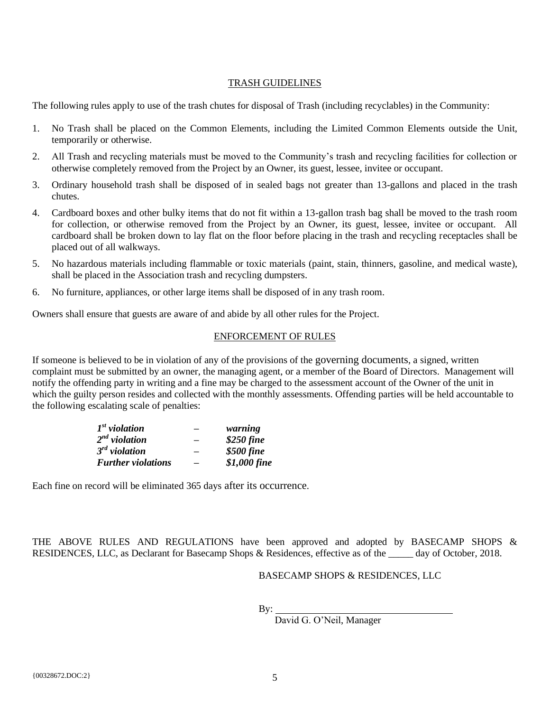### TRASH GUIDELINES

The following rules apply to use of the trash chutes for disposal of Trash (including recyclables) in the Community:

- 1. No Trash shall be placed on the Common Elements, including the Limited Common Elements outside the Unit, temporarily or otherwise.
- 2. All Trash and recycling materials must be moved to the Community's trash and recycling facilities for collection or otherwise completely removed from the Project by an Owner, its guest, lessee, invitee or occupant.
- 3. Ordinary household trash shall be disposed of in sealed bags not greater than 13-gallons and placed in the trash chutes.
- 4. Cardboard boxes and other bulky items that do not fit within a 13-gallon trash bag shall be moved to the trash room for collection, or otherwise removed from the Project by an Owner, its guest, lessee, invitee or occupant. All cardboard shall be broken down to lay flat on the floor before placing in the trash and recycling receptacles shall be placed out of all walkways.
- 5. No hazardous materials including flammable or toxic materials (paint, stain, thinners, gasoline, and medical waste), shall be placed in the Association trash and recycling dumpsters.
- 6. No furniture, appliances, or other large items shall be disposed of in any trash room.

Owners shall ensure that guests are aware of and abide by all other rules for the Project.

# ENFORCEMENT OF RULES

If someone is believed to be in violation of any of the provisions of the governing documents, a signed, written complaint must be submitted by an owner, the managing agent, or a member of the Board of Directors. Management will notify the offending party in writing and a fine may be charged to the assessment account of the Owner of the unit in which the guilty person resides and collected with the monthly assessments. Offending parties will be held accountable to the following escalating scale of penalties:

| $Ist$ violation           | -                        | warning      |
|---------------------------|--------------------------|--------------|
| $2nd$ violation           |                          | \$250 fine   |
| $3rd$ violation           | $\overline{\phantom{m}}$ | \$500 fine   |
| <b>Further violations</b> | $\qquad \qquad \qquad$   | \$1,000 fine |

Each fine on record will be eliminated 365 days after its occurrence.

THE ABOVE RULES AND REGULATIONS have been approved and adopted by BASECAMP SHOPS & RESIDENCES, LLC, as Declarant for Basecamp Shops & Residences, effective as of the \_\_\_\_\_ day of October, 2018.

# BASECAMP SHOPS & RESIDENCES, LLC

By:

David G. O'Neil, Manager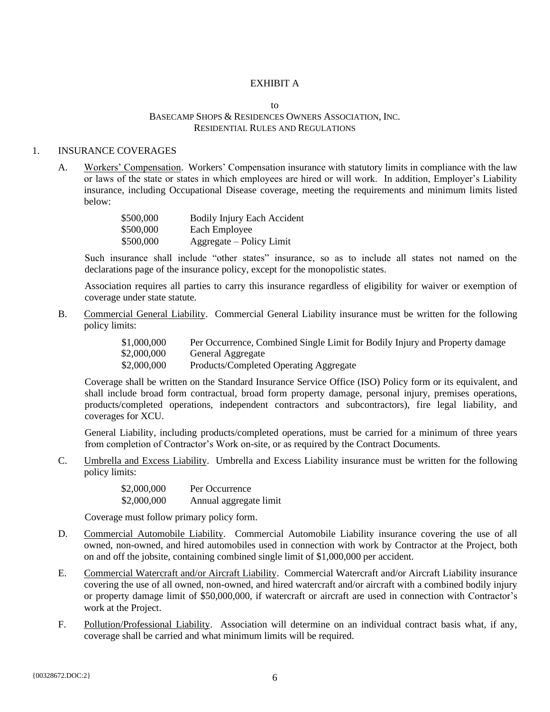### EXHIBIT A

#### to

### BASECAMP SHOPS & RESIDENCES OWNERS ASSOCIATION, INC. RESIDENTIAL RULES AND REGULATIONS

### 1. INSURANCE COVERAGES

A. Workers' Compensation. Workers' Compensation insurance with statutory limits in compliance with the law or laws of the state or states in which employees are hired or will work. In addition, Employer's Liability insurance, including Occupational Disease coverage, meeting the requirements and minimum limits listed below:

| \$500,000 | <b>Bodily Injury Each Accident</b> |
|-----------|------------------------------------|
| \$500,000 | Each Employee                      |
| \$500,000 | Aggregate – Policy Limit           |

Such insurance shall include "other states" insurance, so as to include all states not named on the declarations page of the insurance policy, except for the monopolistic states.

Association requires all parties to carry this insurance regardless of eligibility for waiver or exemption of coverage under state statute.

B. Commercial General Liability. Commercial General Liability insurance must be written for the following policy limits:

| \$1,000,000 | Per Occurrence, Combined Single Limit for Bodily Injury and Property damage |
|-------------|-----------------------------------------------------------------------------|
| \$2,000,000 | General Aggregate                                                           |
| \$2,000,000 | Products/Completed Operating Aggregate                                      |

Coverage shall be written on the Standard Insurance Service Office (ISO) Policy form or its equivalent, and shall include broad form contractual, broad form property damage, personal injury, premises operations, products/completed operations, independent contractors and subcontractors), fire legal liability, and coverages for XCU.

General Liability, including products/completed operations, must be carried for a minimum of three years from completion of Contractor's Work on-site, or as required by the Contract Documents.

C. Umbrella and Excess Liability. Umbrella and Excess Liability insurance must be written for the following policy limits:

> \$2,000,000 Per Occurrence \$2,000,000 Annual aggregate limit

Coverage must follow primary policy form.

- D. Commercial Automobile Liability. Commercial Automobile Liability insurance covering the use of all owned, non-owned, and hired automobiles used in connection with work by Contractor at the Project, both on and off the jobsite, containing combined single limit of \$1,000,000 per accident.
- E. Commercial Watercraft and/or Aircraft Liability. Commercial Watercraft and/or Aircraft Liability insurance covering the use of all owned, non-owned, and hired watercraft and/or aircraft with a combined bodily injury or property damage limit of \$50,000,000, if watercraft or aircraft are used in connection with Contractor's work at the Project.
- F. Pollution/Professional Liability. Association will determine on an individual contract basis what, if any, coverage shall be carried and what minimum limits will be required.